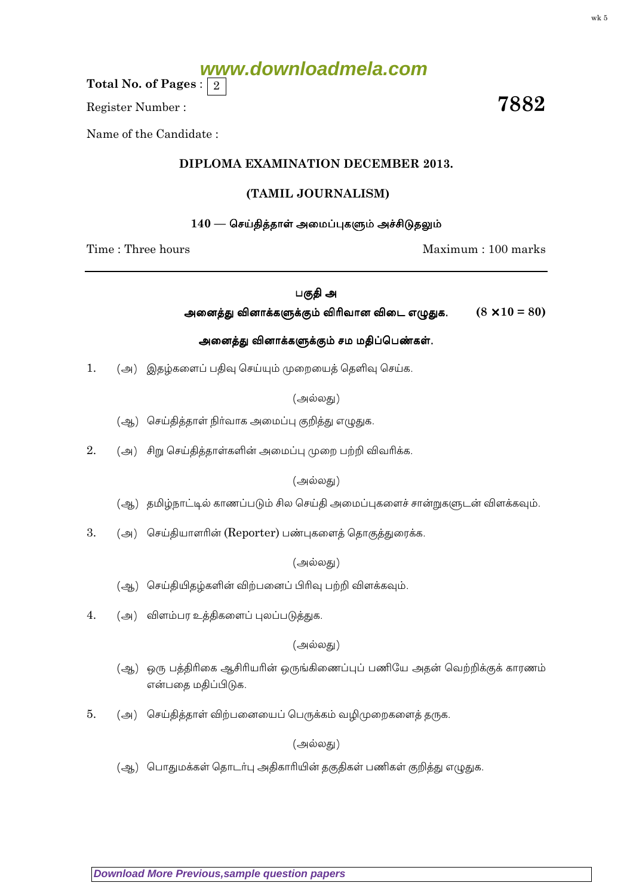# **www.downloadmela.com**

Total No. of Pages :  $\mid 2 \rangle$ 

Register Number :  $\overline{\hspace{1.5cm}7882}$ 

Name of the Candidate :

# DIPLOMA EXAMINATION DECEMBER 2013.

# (TAMIL JOURNALISM)

#### $140$  — செய்தித்தாள் அமைப்புகளும் அச்சிடுதலும்

Time : Three hours and the matter of the matter of the Maximum : 100 marks

பகுதி அ

அனைத்து வினாக்களுக்கும் விரிவான விடை எழுதுக.  $(8 \times 10 = 80)$ 

#### அனைத்து வினாக்களுக்கும் சம மதிப்பெண்கள்.

1. (அ) இதழ்களைப் பதிவு செய்யும் முறையைத் தெளிவு செய்க.

#### (அல்லது)

- (ஆ) செய்தித்தாள் நிர்வாக அமைப்பு குறித்து எழுதுக.
- $2.$   $\left( \right)$  சிறு செய்தித்தாள்களின் அமைப்பு முறை பற்றி விவரிக்க.

#### (அல்லது)

- $\Theta(\mathcal{A})$  தமிழ்நாட்டில் காணப்படும் சில செய்தி அமைப்புகளைச் சான்றுகளுடன் விளக்கவும்.
- 3.  $(\triangleleft)$  செய்தியாளரின் (Reporter) பண்புகளைத் தொகுத்துரைக்க.

#### (அல்லது)

- (ஆ) செய்தியிதழ்களின் விற்பனைப் பிரிவு பற்றி விளக்கவும்.
- $4.$   $($ அ $)$  விளம்பர உத்திகளைப் புலப்படுத்துக.

### (அல்லது)

- (ஆ) ஒரு பத்திரிகை ஆசிரியரின் ஒருங்கிணைப்புப் பணியே அதன் வெற்றிக்குக் காரணம் என்பதை மதிப்பிடுக.
- $5.$   $($ அ $)$  செய்தித்தாள் விற்பனையைப் பெருக்கம் வழிமுறைகளைத் தருக.

### (அல்லது)

(ஆ) பொதுமக்கள் தொடர்பு அதிகாரியின் தகுதிகள் பணிகள் குறித்து எழுதுக.